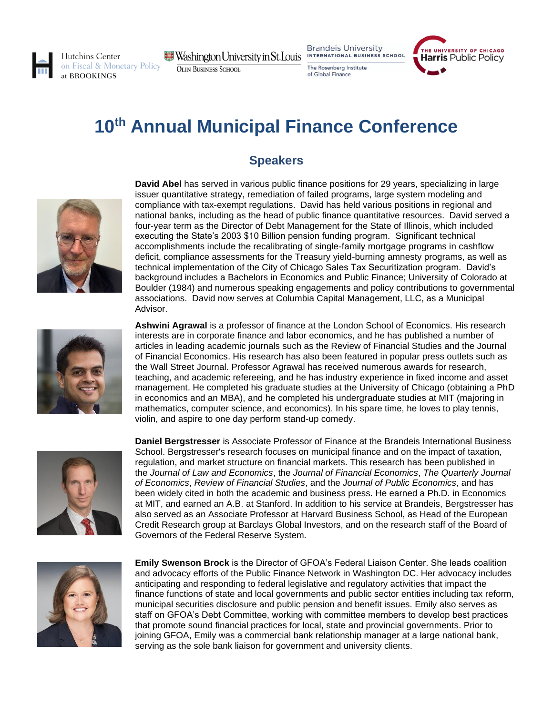

Hutchins Center on Fiscal & Monetary Policy at BROOKINGS

 $\blacksquare$  Washington University in St. Louis **OLIN BUSINESS SCHOOL** 

**Brandeis University** INTERNATIONAL BUSINESS SCHOOL

The Rosenberg Institute of Global Finance



## **10th Annual Municipal Finance Conference**

## **Speakers**



**David Abel** has served in various public finance positions for 29 years, specializing in large issuer quantitative strategy, remediation of failed programs, large system modeling and compliance with tax-exempt regulations. David has held various positions in regional and national banks, including as the head of public finance quantitative resources. David served a four-year term as the Director of Debt Management for the State of Illinois, which included executing the State's 2003 \$10 Billion pension funding program. Significant technical accomplishments include the recalibrating of single-family mortgage programs in cashflow deficit, compliance assessments for the Treasury yield-burning amnesty programs, as well as technical implementation of the City of Chicago Sales Tax Securitization program. David's background includes a Bachelors in Economics and Public Finance; University of Colorado at Boulder (1984) and numerous speaking engagements and policy contributions to governmental associations. David now serves at Columbia Capital Management, LLC, as a Municipal Advisor.



**Ashwini Agrawal** is a professor of finance at the London School of Economics. His research interests are in corporate finance and labor economics, and he has published a number of articles in leading academic journals such as the Review of Financial Studies and the Journal of Financial Economics. His research has also been featured in popular press outlets such as the Wall Street Journal. Professor Agrawal has received numerous awards for research, teaching, and academic refereeing, and he has industry experience in fixed income and asset management. He completed his graduate studies at the University of Chicago (obtaining a PhD in economics and an MBA), and he completed his undergraduate studies at MIT (majoring in mathematics, computer science, and economics). In his spare time, he loves to play tennis, violin, and aspire to one day perform stand-up comedy.



**Daniel Bergstresser** is Associate Professor of Finance at the Brandeis International Business School. Bergstresser's research focuses on municipal finance and on the impact of taxation, regulation, and market structure on financial markets. This research has been published in the *Journal of Law and Economics*, the *Journal of Financial Economics*, *The Quarterly Journal of Economics*, *Review of Financial Studies*, and the *Journal of Public Economics*, and has been widely cited in both the academic and business press. He earned a Ph.D. in Economics at MIT, and earned an A.B. at Stanford. In addition to his service at Brandeis, Bergstresser has also served as an Associate Professor at Harvard Business School, as Head of the European Credit Research group at Barclays Global Investors, and on the research staff of the Board of Governors of the Federal Reserve System.



**Emily Swenson Brock** is the Director of GFOA's Federal Liaison Center. She leads coalition and advocacy efforts of the Public Finance Network in Washington DC. Her advocacy includes anticipating and responding to federal legislative and regulatory activities that impact the finance functions of state and local governments and public sector entities including tax reform, municipal securities disclosure and public pension and benefit issues. Emily also serves as staff on GFOA's Debt Committee, working with committee members to develop best practices that promote sound financial practices for local, state and provincial governments. Prior to joining GFOA, Emily was a commercial bank relationship manager at a large national bank, serving as the sole bank liaison for government and university clients.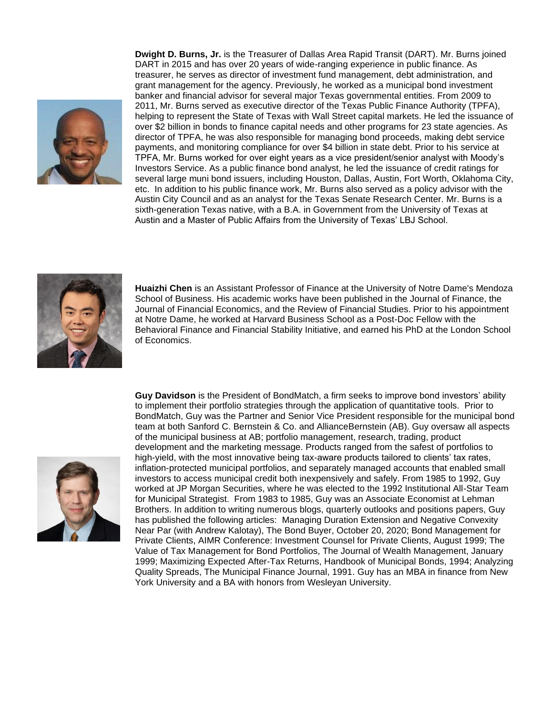

**Dwight D. Burns, Jr.** is the Treasurer of Dallas Area Rapid Transit (DART). Mr. Burns joined DART in 2015 and has over 20 years of wide-ranging experience in public finance. As treasurer, he serves as director of investment fund management, debt administration, and grant management for the agency. Previously, he worked as a municipal bond investment banker and financial advisor for several major Texas governmental entities. From 2009 to 2011, Mr. Burns served as executive director of the Texas Public Finance Authority (TPFA), helping to represent the State of Texas with Wall Street capital markets. He led the issuance of over \$2 billion in bonds to finance capital needs and other programs for 23 state agencies. As director of TPFA, he was also responsible for managing bond proceeds, making debt service payments, and monitoring compliance for over \$4 billion in state debt. Prior to his service at TPFA, Mr. Burns worked for over eight years as a vice president/senior analyst with Moody's Investors Service. As a public finance bond analyst, he led the issuance of credit ratings for several large muni bond issuers, including Houston, Dallas, Austin, Fort Worth, Oklahoma City, etc. In addition to his public finance work, Mr. Burns also served as a policy advisor with the Austin City Council and as an analyst for the Texas Senate Research Center. Mr. Burns is a sixth-generation Texas native, with a B.A. in Government from the University of Texas at Austin and a Master of Public Affairs from the University of Texas' LBJ School.



**Huaizhi Chen** is an Assistant Professor of Finance at the University of Notre Dame's Mendoza School of Business. His academic works have been published in the Journal of Finance, the Journal of Financial Economics, and the Review of Financial Studies. Prior to his appointment at Notre Dame, he worked at Harvard Business School as a Post-Doc Fellow with the Behavioral Finance and Financial Stability Initiative, and earned his PhD at the London School of Economics.



**Guy Davidson** is the President of BondMatch, a firm seeks to improve bond investors' ability to implement their portfolio strategies through the application of quantitative tools. Prior to BondMatch, Guy was the Partner and Senior Vice President responsible for the municipal bond team at both Sanford C. Bernstein & Co. and AllianceBernstein (AB). Guy oversaw all aspects of the municipal business at AB; portfolio management, research, trading, product development and the marketing message. Products ranged from the safest of portfolios to high-yield, with the most innovative being tax-aware products tailored to clients' tax rates, inflation-protected municipal portfolios, and separately managed accounts that enabled small investors to access municipal credit both inexpensively and safely. From 1985 to 1992, Guy worked at JP Morgan Securities, where he was elected to the 1992 Institutional All-Star Team for Municipal Strategist. From 1983 to 1985, Guy was an Associate Economist at Lehman Brothers. In addition to writing numerous blogs, quarterly outlooks and positions papers, Guy has published the following articles: Managing Duration Extension and Negative Convexity Near Par (with Andrew Kalotay), The Bond Buyer, October 20, 2020; Bond Management for Private Clients, AIMR Conference: Investment Counsel for Private Clients, August 1999; The Value of Tax Management for Bond Portfolios, The Journal of Wealth Management, January 1999; Maximizing Expected After-Tax Returns, Handbook of Municipal Bonds, 1994; Analyzing Quality Spreads, The Municipal Finance Journal, 1991. Guy has an MBA in finance from New York University and a BA with honors from Wesleyan University.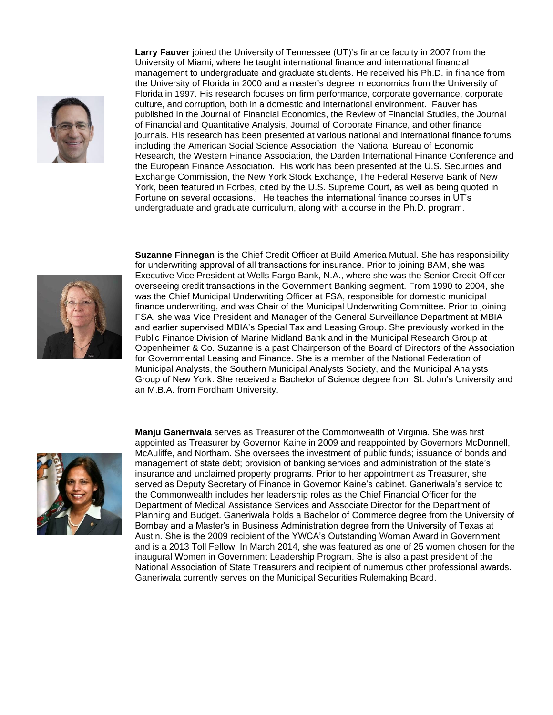

**Larry Fauver** joined the University of Tennessee (UT)'s finance faculty in 2007 from the University of Miami, where he taught international finance and international financial management to undergraduate and graduate students. He received his Ph.D. in finance from the University of Florida in 2000 and a master's degree in economics from the University of Florida in 1997. His research focuses on firm performance, corporate governance, corporate culture, and corruption, both in a domestic and international environment. Fauver has published in the Journal of Financial Economics, the Review of Financial Studies, the Journal of Financial and Quantitative Analysis, Journal of Corporate Finance, and other finance journals. His research has been presented at various national and international finance forums including the American Social Science Association, the National Bureau of Economic Research, the Western Finance Association, the Darden International Finance Conference and the European Finance Association. His work has been presented at the U.S. Securities and Exchange Commission, the New York Stock Exchange, The Federal Reserve Bank of New York, been featured in Forbes, cited by the U.S. Supreme Court, as well as being quoted in Fortune on several occasions. He teaches the international finance courses in UT's undergraduate and graduate curriculum, along with a course in the Ph.D. program.



**Suzanne Finnegan** is the Chief Credit Officer at Build America Mutual. She has responsibility for underwriting approval of all transactions for insurance. Prior to joining BAM, she was Executive Vice President at Wells Fargo Bank, N.A., where she was the Senior Credit Officer overseeing credit transactions in the Government Banking segment. From 1990 to 2004, she was the Chief Municipal Underwriting Officer at FSA, responsible for domestic municipal finance underwriting, and was Chair of the Municipal Underwriting Committee. Prior to joining FSA, she was Vice President and Manager of the General Surveillance Department at MBIA and earlier supervised MBIA's Special Tax and Leasing Group. She previously worked in the Public Finance Division of Marine Midland Bank and in the Municipal Research Group at Oppenheimer & Co. Suzanne is a past Chairperson of the Board of Directors of the Association for Governmental Leasing and Finance. She is a member of the National Federation of Municipal Analysts, the Southern Municipal Analysts Society, and the Municipal Analysts Group of New York. She received a Bachelor of Science degree from St. John's University and an M.B.A. from Fordham University.



**Manju Ganeriwala** serves as Treasurer of the Commonwealth of Virginia. She was first appointed as Treasurer by Governor Kaine in 2009 and reappointed by Governors McDonnell, McAuliffe, and Northam. She oversees the investment of public funds; issuance of bonds and management of state debt; provision of banking services and administration of the state's insurance and unclaimed property programs. Prior to her appointment as Treasurer, she served as Deputy Secretary of Finance in Governor Kaine's cabinet. Ganeriwala's service to the Commonwealth includes her leadership roles as the Chief Financial Officer for the Department of Medical Assistance Services and Associate Director for the Department of Planning and Budget. Ganeriwala holds a Bachelor of Commerce degree from the University of Bombay and a Master's in Business Administration degree from the University of Texas at Austin. She is the 2009 recipient of the YWCA's Outstanding Woman Award in Government and is a 2013 Toll Fellow. In March 2014, she was featured as one of 25 women chosen for the inaugural Women in Government Leadership Program. She is also a past president of the National Association of State Treasurers and recipient of numerous other professional awards. Ganeriwala currently serves on the Municipal Securities Rulemaking Board.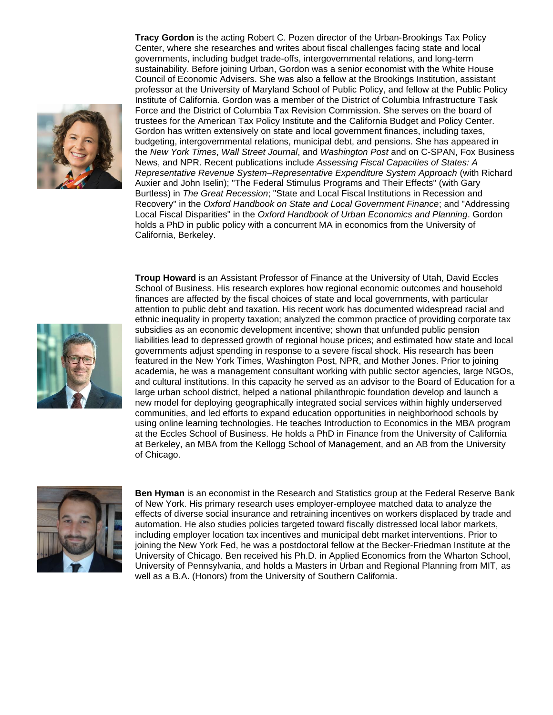

**Tracy Gordon** is the acting Robert C. Pozen director of the Urban-Brookings Tax Policy Center, where she researches and writes about fiscal challenges facing state and local governments, including budget trade-offs, intergovernmental relations, and long-term sustainability. Before joining Urban, Gordon was a senior economist with the White House Council of Economic Advisers. She was also a fellow at the Brookings Institution, assistant professor at the University of Maryland School of Public Policy, and fellow at the Public Policy Institute of California. Gordon was a member of the District of Columbia Infrastructure Task Force and the District of Columbia Tax Revision Commission. She serves on the board of trustees for the American Tax Policy Institute and the California Budget and Policy Center. Gordon has written extensively on state and local government finances, including taxes, budgeting, intergovernmental relations, municipal debt, and pensions. She has appeared in the *New York Times*, *Wall Street Journal*, and *Washington Post* and on C-SPAN, Fox Business News, and NPR. Recent publications include *Assessing Fiscal Capacities of States: A Representative Revenue System–Representative Expenditure System Approach* (with Richard Auxier and John Iselin); "The Federal Stimulus Programs and Their Effects" (with Gary Burtless) in *The Great Recession*; "State and Local Fiscal Institutions in Recession and Recovery" in the *Oxford Handbook on State and Local Government Finance*; and "Addressing Local Fiscal Disparities" in the *Oxford Handbook of Urban Economics and Planning*. Gordon holds a PhD in public policy with a concurrent MA in economics from the University of California, Berkeley.

**Troup Howard** is an Assistant Professor of Finance at the University of Utah, David Eccles School of Business. His research explores how regional economic outcomes and household finances are affected by the fiscal choices of state and local governments, with particular attention to public debt and taxation. His recent work has documented widespread racial and ethnic inequality in property taxation; analyzed the common practice of providing corporate tax subsidies as an economic development incentive; shown that unfunded public pension liabilities lead to depressed growth of regional house prices; and estimated how state and local governments adjust spending in response to a severe fiscal shock. His research has been featured in the New York Times, Washington Post, NPR, and Mother Jones. Prior to joining academia, he was a management consultant working with public sector agencies, large NGOs, and cultural institutions. In this capacity he served as an advisor to the Board of Education for a large urban school district, helped a national philanthropic foundation develop and launch a new model for deploying geographically integrated social services within highly underserved communities, and led efforts to expand education opportunities in neighborhood schools by using online learning technologies. He teaches Introduction to Economics in the MBA program at the Eccles School of Business. He holds a PhD in Finance from the University of California at Berkeley, an MBA from the Kellogg School of Management, and an AB from the University of Chicago.



**Ben Hyman** is an economist in the Research and Statistics group at the Federal Reserve Bank of New York. His primary research uses employer-employee matched data to analyze the effects of diverse social insurance and retraining incentives on workers displaced by trade and automation. He also studies policies targeted toward fiscally distressed local labor markets, including employer location tax incentives and municipal debt market interventions. Prior to joining the New York Fed, he was a postdoctoral fellow at the Becker-Friedman Institute at the University of Chicago. Ben received his Ph.D. in Applied Economics from the Wharton School, University of Pennsylvania, and holds a Masters in Urban and Regional Planning from MIT, as well as a B.A. (Honors) from the University of Southern California.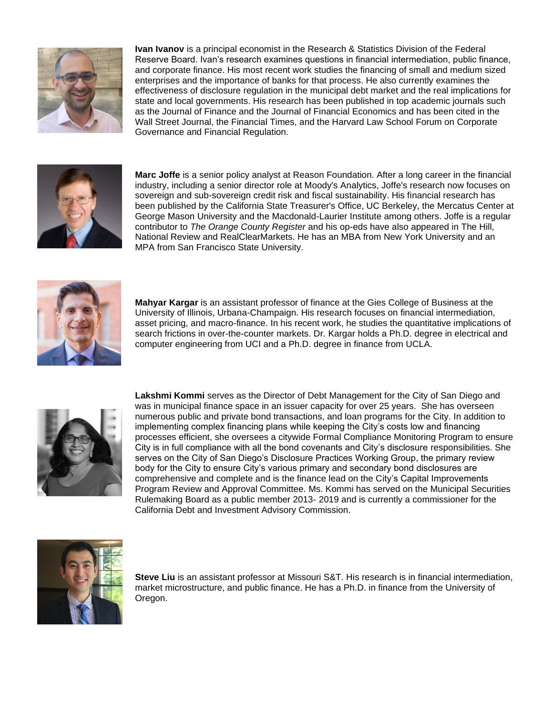

**Ivan Ivanov** is a principal economist in the Research & Statistics Division of the Federal Reserve Board. Ivan's research examines questions in financial intermediation, public finance, and corporate finance. His most recent work studies the financing of small and medium sized enterprises and the importance of banks for that process. He also currently examines the effectiveness of disclosure regulation in the municipal debt market and the real implications for state and local governments. His research has been published in top academic journals such as the Journal of Finance and the Journal of Financial Economics and has been cited in the Wall Street Journal, the Financial Times, and the Harvard Law School Forum on Corporate Governance and Financial Regulation.



**Marc Joffe** is a senior policy analyst at Reason Foundation. After a long career in the financial industry, including a senior director role at Moody's Analytics, Joffe's research now focuses on sovereign and sub-sovereign credit risk and fiscal sustainability. His financial research has been published by the California State Treasurer's Office, UC Berkeley, the Mercatus Center at George Mason University and the Macdonald-Laurier Institute among others. Joffe is a regular contributor to *The Orange County Register* and his op-eds have also appeared in The Hill, National Review and RealClearMarkets. He has an MBA from New York University and an MPA from San Francisco State University.



**Mahyar Kargar** is an assistant professor of finance at the Gies College of Business at the University of Illinois, Urbana-Champaign. His research focuses on financial intermediation, asset pricing, and macro-finance. In his recent work, he studies the quantitative implications of search frictions in over-the-counter markets. Dr. Kargar holds a Ph.D. degree in electrical and computer engineering from UCI and a Ph.D. degree in finance from UCLA.



**Lakshmi Kommi** serves as the Director of Debt Management for the City of San Diego and was in municipal finance space in an issuer capacity for over 25 years. She has overseen numerous public and private bond transactions, and loan programs for the City. In addition to implementing complex financing plans while keeping the City's costs low and financing processes efficient, she oversees a citywide Formal Compliance Monitoring Program to ensure City is in full compliance with all the bond covenants and City's disclosure responsibilities. She serves on the City of San Diego's Disclosure Practices Working Group, the primary review body for the City to ensure City's various primary and secondary bond disclosures are comprehensive and complete and is the finance lead on the City's Capital Improvements Program Review and Approval Committee. Ms. Kommi has served on the Municipal Securities Rulemaking Board as a public member 2013- 2019 and is currently a commissioner for the California Debt and Investment Advisory Commission.



**Steve Liu** is an assistant professor at Missouri S&T. His research is in financial intermediation, market microstructure, and public finance. He has a Ph.D. in finance from the University of Oregon.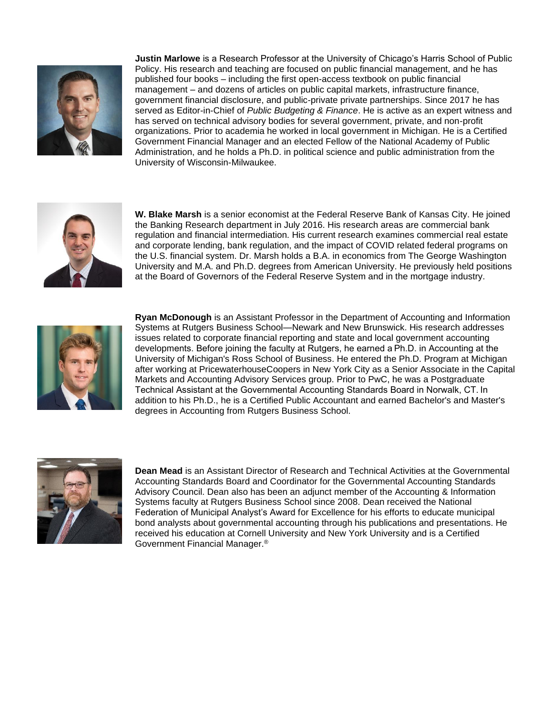

**Justin Marlowe** is a Research Professor at the University of Chicago's Harris School of Public Policy. His research and teaching are focused on public financial management, and he has published four books – including the first open-access textbook on public financial management – and dozens of articles on public capital markets, infrastructure finance, government financial disclosure, and public-private private partnerships. Since 2017 he has served as Editor-in-Chief of *Public Budgeting & Finance*. He is active as an expert witness and has served on technical advisory bodies for several government, private, and non-profit organizations. Prior to academia he worked in local government in Michigan. He is a Certified Government Financial Manager and an elected Fellow of the National Academy of Public Administration, and he holds a Ph.D. in political science and public administration from the University of Wisconsin-Milwaukee.



**W. Blake Marsh** is a senior economist at the Federal Reserve Bank of Kansas City. He joined the Banking Research department in July 2016. His research areas are commercial bank regulation and financial intermediation. His current research examines commercial real estate and corporate lending, bank regulation, and the impact of COVID related federal programs on the U.S. financial system. Dr. Marsh holds a B.A. in economics from The George Washington University and M.A. and Ph.D. degrees from American University. He previously held positions at the Board of Governors of the Federal Reserve System and in the mortgage industry.



**Ryan McDonough** is an Assistant Professor in the Department of Accounting and Information Systems at Rutgers Business School—Newark and New Brunswick. His research addresses issues related to corporate financial reporting and state and local government accounting developments. Before joining the faculty at Rutgers, he earned a Ph.D. in Accounting at the University of Michigan's Ross School of Business. He entered the Ph.D. Program at Michigan after working at PricewaterhouseCoopers in New York City as a Senior Associate in the Capital Markets and Accounting Advisory Services group. Prior to PwC, he was a Postgraduate Technical Assistant at the Governmental Accounting Standards Board in Norwalk, CT. In addition to his Ph.D., he is a Certified Public Accountant and earned Bachelor's and Master's degrees in Accounting from Rutgers Business School.



**Dean Mead** is an Assistant Director of Research and Technical Activities at the Governmental Accounting Standards Board and Coordinator for the Governmental Accounting Standards Advisory Council. Dean also has been an adjunct member of the Accounting & Information Systems faculty at Rutgers Business School since 2008. Dean received the National Federation of Municipal Analyst's Award for Excellence for his efforts to educate municipal bond analysts about governmental accounting through his publications and presentations. He received his education at Cornell University and New York University and is a Certified Government Financial Manager.®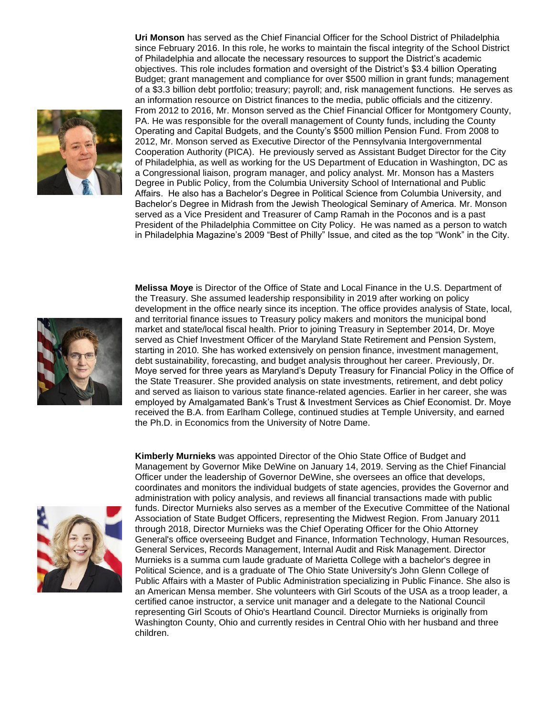

**Uri Monson** has served as the Chief Financial Officer for the School District of Philadelphia since February 2016. In this role, he works to maintain the fiscal integrity of the School District of Philadelphia and allocate the necessary resources to support the District's academic objectives. This role includes formation and oversight of the District's \$3.4 billion Operating Budget; grant management and compliance for over \$500 million in grant funds; management of a \$3.3 billion debt portfolio; treasury; payroll; and, risk management functions. He serves as an information resource on District finances to the media, public officials and the citizenry. From 2012 to 2016, Mr. Monson served as the Chief Financial Officer for Montgomery County, PA. He was responsible for the overall management of County funds, including the County Operating and Capital Budgets, and the County's \$500 million Pension Fund. From 2008 to 2012, Mr. Monson served as Executive Director of the Pennsylvania Intergovernmental Cooperation Authority (PICA). He previously served as Assistant Budget Director for the City of Philadelphia, as well as working for the US Department of Education in Washington, DC as a Congressional liaison, program manager, and policy analyst. Mr. Monson has a Masters Degree in Public Policy, from the Columbia University School of International and Public Affairs. He also has a Bachelor's Degree in Political Science from Columbia University, and Bachelor's Degree in Midrash from the Jewish Theological Seminary of America. Mr. Monson served as a Vice President and Treasurer of Camp Ramah in the Poconos and is a past President of the Philadelphia Committee on City Policy. He was named as a person to watch in Philadelphia Magazine's 2009 "Best of Philly" Issue, and cited as the top "Wonk" in the City.



**Melissa Moye** is Director of the Office of State and Local Finance in the U.S. Department of the Treasury. She assumed leadership responsibility in 2019 after working on policy development in the office nearly since its inception. The office provides analysis of State, local, and territorial finance issues to Treasury policy makers and monitors the municipal bond market and state/local fiscal health. Prior to joining Treasury in September 2014, Dr. Moye served as Chief Investment Officer of the Maryland State Retirement and Pension System, starting in 2010. She has worked extensively on pension finance, investment management, debt sustainability, forecasting, and budget analysis throughout her career. Previously, Dr. Moye served for three years as Maryland's Deputy Treasury for Financial Policy in the Office of the State Treasurer. She provided analysis on state investments, retirement, and debt policy and served as liaison to various state finance-related agencies. Earlier in her career, she was employed by Amalgamated Bank's Trust & Investment Services as Chief Economist. Dr. Moye received the B.A. from Earlham College, continued studies at Temple University, and earned the Ph.D. in Economics from the University of Notre Dame.



**Kimberly Murnieks** was appointed Director of the Ohio State Office of Budget and Management by Governor Mike DeWine on January 14, 2019. Serving as the Chief Financial Officer under the leadership of Governor DeWine, she oversees an office that develops, coordinates and monitors the individual budgets of state agencies, provides the Governor and administration with policy analysis, and reviews all financial transactions made with public funds. Director Murnieks also serves as a member of the Executive Committee of the National Association of State Budget Officers, representing the Midwest Region. From January 2011 through 2018, Director Murnieks was the Chief Operating Officer for the Ohio Attorney General's office overseeing Budget and Finance, Information Technology, Human Resources, General Services, Records Management, Internal Audit and Risk Management. Director Murnieks is a summa cum laude graduate of Marietta College with a bachelor's degree in Political Science, and is a graduate of The Ohio State University's John Glenn College of Public Affairs with a Master of Public Administration specializing in Public Finance. She also is an American Mensa member. She volunteers with Girl Scouts of the USA as a troop leader, a certified canoe instructor, a service unit manager and a delegate to the National Council representing Girl Scouts of Ohio's Heartland Council. Director Murnieks is originally from Washington County, Ohio and currently resides in Central Ohio with her husband and three children.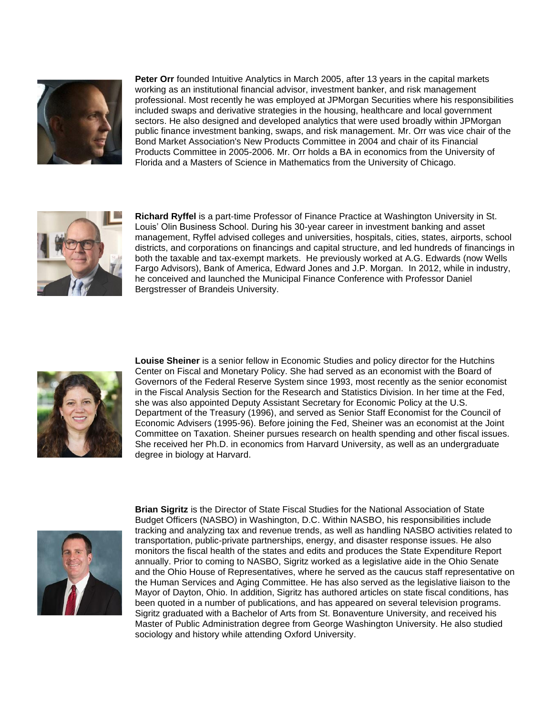

**Peter Orr** founded Intuitive Analytics in March 2005, after 13 years in the capital markets working as an institutional financial advisor, investment banker, and risk management professional. Most recently he was employed at JPMorgan Securities where his responsibilities included swaps and derivative strategies in the housing, healthcare and local government sectors. He also designed and developed analytics that were used broadly within JPMorgan public finance investment banking, swaps, and risk management. Mr. Orr was vice chair of the Bond Market Association's New Products Committee in 2004 and chair of its Financial Products Committee in 2005-2006. Mr. Orr holds a BA in economics from the University of Florida and a Masters of Science in Mathematics from the University of Chicago.



**Richard Ryffel** is a part-time Professor of Finance Practice at Washington University in St. Louis' Olin Business School. During his 30-year career in investment banking and asset management, Ryffel advised colleges and universities, hospitals, cities, states, airports, school districts, and corporations on financings and capital structure, and led hundreds of financings in both the taxable and tax-exempt markets. He previously worked at A.G. Edwards (now Wells Fargo Advisors), Bank of America, Edward Jones and J.P. Morgan. In 2012, while in industry, he conceived and launched the Municipal Finance Conference with Professor Daniel Bergstresser of Brandeis University.



**Louise Sheiner** is a senior fellow in Economic Studies and policy director for the Hutchins Center on Fiscal and Monetary Policy. She had served as an economist with the Board of Governors of the Federal Reserve System since 1993, most recently as the senior economist in the Fiscal Analysis Section for the Research and Statistics Division. In her time at the Fed, she was also appointed Deputy Assistant Secretary for Economic Policy at the U.S. Department of the Treasury (1996), and served as Senior Staff Economist for the Council of Economic Advisers (1995-96). Before joining the Fed, Sheiner was an economist at the Joint Committee on Taxation. Sheiner pursues research on health spending and other fiscal issues. She received her Ph.D. in economics from Harvard University, as well as an undergraduate degree in biology at Harvard.



**Brian Sigritz** is the Director of State Fiscal Studies for the National Association of State Budget Officers (NASBO) in Washington, D.C. Within NASBO, his responsibilities include tracking and analyzing tax and revenue trends, as well as handling NASBO activities related to transportation, public-private partnerships, energy, and disaster response issues. He also monitors the fiscal health of the states and edits and produces the State Expenditure Report annually. Prior to coming to NASBO, Sigritz worked as a legislative aide in the Ohio Senate and the Ohio House of Representatives, where he served as the caucus staff representative on the Human Services and Aging Committee. He has also served as the legislative liaison to the Mayor of Dayton, Ohio. In addition, Sigritz has authored articles on state fiscal conditions, has been quoted in a number of publications, and has appeared on several television programs. Sigritz graduated with a Bachelor of Arts from St. Bonaventure University, and received his Master of Public Administration degree from George Washington University. He also studied sociology and history while attending Oxford University.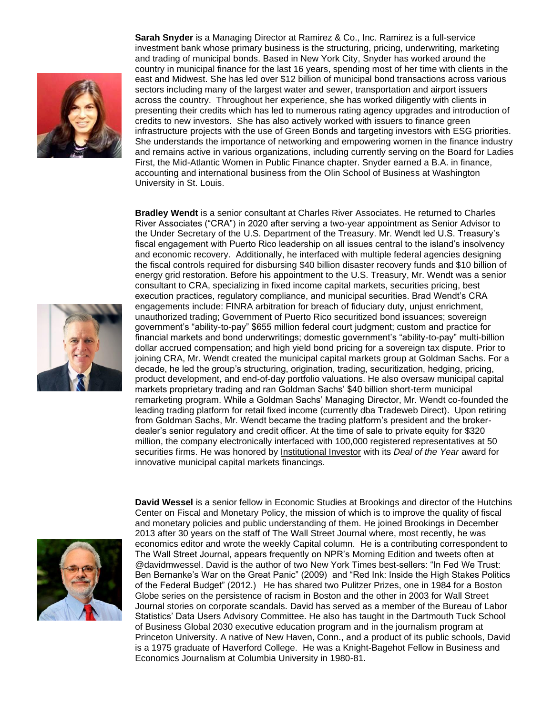



**Sarah Snyder** is a Managing Director at Ramirez & Co., Inc. Ramirez is a full-service investment bank whose primary business is the structuring, pricing, underwriting, marketing and trading of municipal bonds. Based in New York City, Snyder has worked around the country in municipal finance for the last 16 years, spending most of her time with clients in the east and Midwest. She has led over \$12 billion of municipal bond transactions across various sectors including many of the largest water and sewer, transportation and airport issuers across the country. Throughout her experience, she has worked diligently with clients in presenting their credits which has led to numerous rating agency upgrades and introduction of credits to new investors. She has also actively worked with issuers to finance green infrastructure projects with the use of Green Bonds and targeting investors with ESG priorities. She understands the importance of networking and empowering women in the finance industry and remains active in various organizations, including currently serving on the Board for Ladies First, the Mid-Atlantic Women in Public Finance chapter. Snyder earned a B.A. in finance, accounting and international business from the Olin School of Business at Washington University in St. Louis.

**Bradley Wendt** is a senior consultant at Charles River Associates. He returned to Charles River Associates ("CRA") in 2020 after serving a two-year appointment as Senior Advisor to the Under Secretary of the U.S. Department of the Treasury. Mr. Wendt led U.S. Treasury's fiscal engagement with Puerto Rico leadership on all issues central to the island's insolvency and economic recovery. Additionally, he interfaced with multiple federal agencies designing the fiscal controls required for disbursing \$40 billion disaster recovery funds and \$10 billion of energy grid restoration. Before his appointment to the U.S. Treasury, Mr. Wendt was a senior consultant to CRA, specializing in fixed income capital markets, securities pricing, best execution practices, regulatory compliance, and municipal securities. Brad Wendt's CRA engagements include: FINRA arbitration for breach of fiduciary duty, unjust enrichment, unauthorized trading; Government of Puerto Rico securitized bond issuances; sovereign government's "ability-to-pay" \$655 million federal court judgment; custom and practice for financial markets and bond underwritings; domestic government's "ability-to-pay" multi-billion dollar accrued compensation; and high yield bond pricing for a sovereign tax dispute. Prior to joining CRA, Mr. Wendt created the municipal capital markets group at Goldman Sachs. For a decade, he led the group's structuring, origination, trading, securitization, hedging, pricing, product development, and end-of-day portfolio valuations. He also oversaw municipal capital markets proprietary trading and ran Goldman Sachs' \$40 billion short-term municipal remarketing program. While a Goldman Sachs' Managing Director, Mr. Wendt co-founded the leading trading platform for retail fixed income (currently dba Tradeweb Direct). Upon retiring from Goldman Sachs, Mr. Wendt became the trading platform's president and the brokerdealer's senior regulatory and credit officer. At the time of sale to private equity for \$320 million, the company electronically interfaced with 100,000 registered representatives at 50 securities firms. He was honored by Institutional Investor with its *Deal of the Year* award for innovative municipal capital markets financings.



**David Wessel** is a senior fellow in Economic Studies at Brookings and director of the Hutchins Center on Fiscal and Monetary Policy, the mission of which is to improve the quality of fiscal and monetary policies and public understanding of them. He joined Brookings in December 2013 after 30 years on the staff of The Wall Street Journal where, most recently, he was economics editor and wrote the weekly Capital column. He is a contributing correspondent to The Wall Street Journal, appears frequently on NPR's Morning Edition and tweets often at @davidmwessel. David is the author of two New York Times best-sellers: "In Fed We Trust: Ben Bernanke's War on the Great Panic" (2009) and "Red Ink: Inside the High Stakes Politics of the Federal Budget" (2012.) He has shared two Pulitzer Prizes, one in 1984 for a Boston Globe series on the persistence of racism in Boston and the other in 2003 for Wall Street Journal stories on corporate scandals. David has served as a member of the Bureau of Labor Statistics' Data Users Advisory Committee. He also has taught in the Dartmouth Tuck School of Business Global 2030 executive education program and in the journalism program at Princeton University. A native of New Haven, Conn., and a product of its public schools, David is a 1975 graduate of Haverford College. He was a Knight-Bagehot Fellow in Business and Economics Journalism at Columbia University in 1980-81.